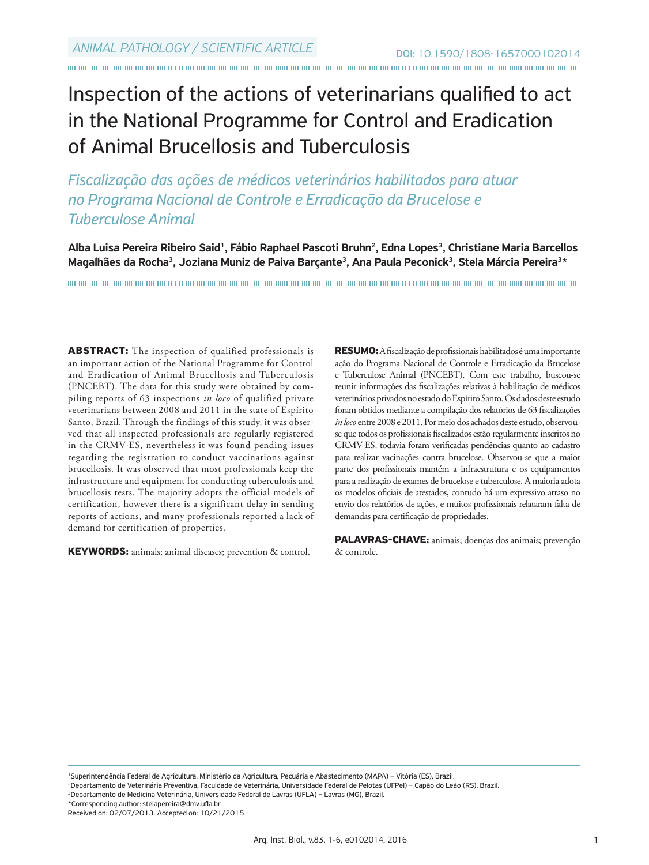# Inspection of the actions of veterinarians qualified to act in the National Programme for Control and Eradication of Animal Brucellosis and Tuberculosis

*Fiscalização das ações de médicos veterinários habilitados para atuar no Programa Nacional de Controle e Erradicação da Brucelose e Tuberculose Animal* 

Alba Luisa Pereira Ribeiro Said<sup>1</sup>, Fábio Raphael Pascoti Bruhn<sup>2</sup>, Edna Lopes<sup>3</sup>, Christiane Maria Barcellos Magalhães da Rocha<sup>3</sup>, Joziana Muniz de Paiva Barçante<sup>3</sup>, Ana Paula Peconick<sup>3</sup>, Stela Márcia Pereira<sup>3\*</sup>

**ABSTRACT:** The inspection of qualified professionals is an important action of the National Programme for Control and Eradication of Animal Brucellosis and Tuberculosis (PNCEBT). The data for this study were obtained by compiling reports of 63 inspections *in loco* of qualified private veterinarians between 2008 and 2011 in the state of Espírito Santo, Brazil. Through the findings of this study, it was observed that all inspected professionals are regularly registered in the CRMV-ES, nevertheless it was found pending issues regarding the registration to conduct vaccinations against brucellosis. It was observed that most professionals keep the infrastructure and equipment for conducting tuberculosis and brucellosis tests. The majority adopts the official models of certification, however there is a significant delay in sending reports of actions, and many professionals reported a lack of demand for certification of properties.

**KEYWORDS:** animals; animal diseases; prevention & control.

**RESUMO:** A fiscalização de profissionais habilitados é uma importante ação do Programa Nacional de Controle e Erradicação da Brucelose e Tuberculose Animal (PNCEBT). Com este trabalho, buscou-se reunir informações das fiscalizações relativas à habilitação de médicos veterinários privados no estado do Espírito Santo. Os dados deste estudo foram obtidos mediante a compilação dos relatórios de 63 fiscalizações *in loco* entre 2008 e 2011. Por meio dos achados deste estudo, observouse que todos os profissionais fiscalizados estão regularmente inscritos no CRMV-ES, todavia foram verificadas pendências quanto ao cadastro para realizar vacinações contra brucelose. Observou-se que a maior parte dos profissionais mantém a infraestrutura e os equipamentos para a realização de exames de brucelose e tuberculose. A maioria adota os modelos oficiais de atestados, contudo há um expressivo atraso no envio dos relatórios de ações, e muitos profissionais relataram falta de demandas para certificação de propriedades.

**PALAVRAS-CHAVE:** animais; doenças dos animais; prevenção & controle.

<sup>1</sup>Superintendência Federal de Agricultura, Ministério da Agricultura, Pecuária e Abastecimento (MAPA) – Vitória (ES), Brazil.

<sup>2</sup>Departamento de Veterinária Preventiva, Faculdade de Veterinária, Universidade Federal de Pelotas (UFPel) – Capão do Leão (RS), Brazil.

<sup>3</sup>Departamento de Medicina Veterinária, Universidade Federal de Lavras (UFLA) – Lavras (MG), Brazil.

\*Corresponding author: stelapereira@dmv.ufla.br

Received on: 02/07/2013. Accepted on: 10/21/2015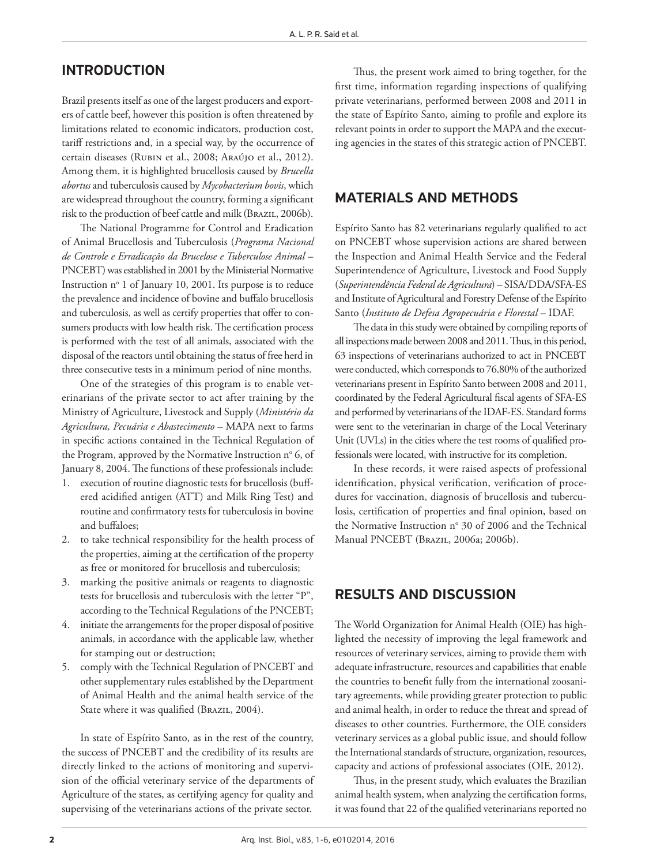### INTRODUCTION

Brazil presents itself as one of the largest producers and exporters of cattle beef, however this position is often threatened by limitations related to economic indicators, production cost, tariff restrictions and, in a special way, by the occurrence of certain diseases (Rubin et al., 2008; Araújo et al., 2012). Among them, it is highlighted brucellosis caused by *Brucella abortus* and tuberculosis caused by *Mycobacterium bovis*, which are widespread throughout the country, forming a significant risk to the production of beef cattle and milk (BRAZIL, 2006b).

The National Programme for Control and Eradication of Animal Brucellosis and Tuberculosis (*Programa Nacional de Controle e Erradicação da Brucelose e Tuberculose Animal* – PNCEBT) was established in 2001 by the Ministerial Normative Instruction nº 1 of January 10, 2001. Its purpose is to reduce the prevalence and incidence of bovine and buffalo brucellosis and tuberculosis, as well as certify properties that offer to consumers products with low health risk. The certification process is performed with the test of all animals, associated with the disposal of the reactors until obtaining the status of free herd in three consecutive tests in a minimum period of nine months.

One of the strategies of this program is to enable veterinarians of the private sector to act after training by the Ministry of Agriculture, Livestock and Supply (*Ministério da Agricultura, Pecuária e Abastecimento* – MAPA next to farms in specific actions contained in the Technical Regulation of the Program, approved by the Normative Instruction n° 6, of January 8, 2004. The functions of these professionals include:

- 1. execution of routine diagnostic tests for brucellosis (buffered acidified antigen (ATT) and Milk Ring Test) and routine and confirmatory tests for tuberculosis in bovine and buffaloes;
- 2. to take technical responsibility for the health process of the properties, aiming at the certification of the property as free or monitored for brucellosis and tuberculosis;
- 3. marking the positive animals or reagents to diagnostic tests for brucellosis and tuberculosis with the letter "P", according to the Technical Regulations of the PNCEBT;
- 4. initiate the arrangements for the proper disposal of positive animals, in accordance with the applicable law, whether for stamping out or destruction;
- 5. comply with the Technical Regulation of PNCEBT and other supplementary rules established by the Department of Animal Health and the animal health service of the State where it was qualified (BRAZIL, 2004).

In state of Espírito Santo, as in the rest of the country, the success of PNCEBT and the credibility of its results are directly linked to the actions of monitoring and supervision of the official veterinary service of the departments of Agriculture of the states, as certifying agency for quality and supervising of the veterinarians actions of the private sector.

Thus, the present work aimed to bring together, for the first time, information regarding inspections of qualifying private veterinarians, performed between 2008 and 2011 in the state of Espírito Santo, aiming to profile and explore its relevant points in order to support the MAPA and the executing agencies in the states of this strategic action of PNCEBT.

#### MATERIALS AND METHODS

Espírito Santo has 82 veterinarians regularly qualified to act on PNCEBT whose supervision actions are shared between the Inspection and Animal Health Service and the Federal Superintendence of Agriculture, Livestock and Food Supply (*Superintendência Federal de Agricultura*) – SISA/DDA/SFA-ES and Institute of Agricultural and Forestry Defense of the Espírito Santo (*Instituto de Defesa Agropecuária e Florestal* – IDAF.

The data in this study were obtained by compiling reports of all inspections made between 2008 and 2011. Thus, in this period, 63 inspections of veterinarians authorized to act in PNCEBT were conducted, which corresponds to 76.80% of the authorized veterinarians present in Espírito Santo between 2008 and 2011, coordinated by the Federal Agricultural fiscal agents of SFA-ES and performed by veterinarians of the IDAF-ES. Standard forms were sent to the veterinarian in charge of the Local Veterinary Unit (UVLs) in the cities where the test rooms of qualified professionals were located, with instructive for its completion.

In these records, it were raised aspects of professional identification, physical verification, verification of procedures for vaccination, diagnosis of brucellosis and tuberculosis, certification of properties and final opinion, based on the Normative Instruction n° 30 of 2006 and the Technical Manual PNCEBT (Brazil, 2006a; 2006b).

#### RESULTS AND DISCUSSION

The World Organization for Animal Health (OIE) has highlighted the necessity of improving the legal framework and resources of veterinary services, aiming to provide them with adequate infrastructure, resources and capabilities that enable the countries to benefit fully from the international zoosanitary agreements, while providing greater protection to public and animal health, in order to reduce the threat and spread of diseases to other countries. Furthermore, the OIE considers veterinary services as a global public issue, and should follow the International standards of structure, organization, resources, capacity and actions of professional associates (OIE, 2012).

Thus, in the present study, which evaluates the Brazilian animal health system, when analyzing the certification forms, it was found that 22 of the qualified veterinarians reported no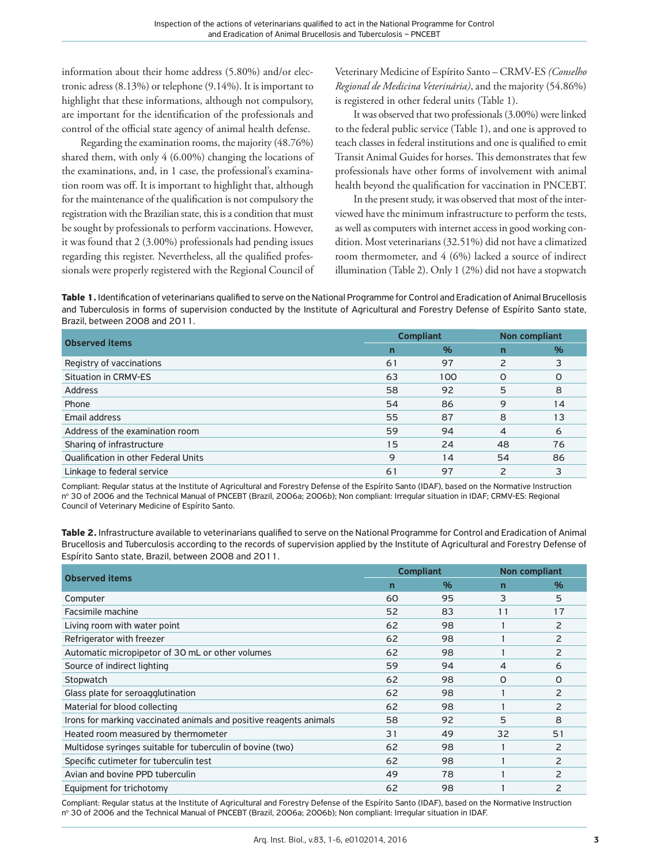information about their home address (5.80%) and/or electronic adress (8.13%) or telephone (9.14%). It is important to highlight that these informations, although not compulsory, are important for the identification of the professionals and control of the official state agency of animal health defense.

Regarding the examination rooms, the majority (48.76%) shared them, with only 4 (6.00%) changing the locations of the examinations, and, in 1 case, the professional's examination room was off. It is important to highlight that, although for the maintenance of the qualification is not compulsory the registration with the Brazilian state, this is a condition that must be sought by professionals to perform vaccinations. However, it was found that 2 (3.00%) professionals had pending issues regarding this register. Nevertheless, all the qualified professionals were properly registered with the Regional Council of

Veterinary Medicine of Espírito Santo – CRMV-ES *(Conselho Regional de Medicina Veterinária)*, and the majority (54.86%) is registered in other federal units (Table 1).

It was observed that two professionals (3.00%) were linked to the federal public service (Table 1), and one is approved to teach classes in federal institutions and one is qualified to emit Transit Animal Guides for horses. This demonstrates that few professionals have other forms of involvement with animal health beyond the qualification for vaccination in PNCEBT.

In the present study, it was observed that most of the interviewed have the minimum infrastructure to perform the tests, as well as computers with internet access in good working condition. Most veterinarians (32.51%) did not have a climatized room thermometer, and 4 (6%) lacked a source of indirect illumination (Table 2). Only 1 (2%) did not have a stopwatch

**Table 1.** Identification of veterinarians qualified to serve on the National Programme for Control and Eradication of Animal Brucellosis and Tuberculosis in forms of supervision conducted by the Institute of Agricultural and Forestry Defense of Espírito Santo state, Brazil, between 2008 and 2011.

| <b>Observed items</b>                       | <b>Compliant</b> |     | <b>Non compliant</b> |          |
|---------------------------------------------|------------------|-----|----------------------|----------|
|                                             | n                | %   | n                    | %        |
| Registry of vaccinations                    | 61               | 97  | $\mathcal{P}$        | 3        |
| <b>Situation in CRMV-ES</b>                 | 63               | 100 | $\Omega$             | $\Omega$ |
| Address                                     | 58               | 92  | 5                    | 8        |
| Phone                                       | 54               | 86  | 9                    | 14       |
| Email address                               | 55               | 87  | 8                    | 13       |
| Address of the examination room             | 59               | 94  | $\overline{4}$       | 6        |
| Sharing of infrastructure                   | 15               | 24  | 48                   | 76       |
| <b>Qualification in other Federal Units</b> | 9                | 14  | 54                   | 86       |
| Linkage to federal service                  | 6 <sup>1</sup>   | 97  | 2                    |          |

Compliant: Regular status at the Institute of Agricultural and Forestry Defense of the Espírito Santo (IDAF), based on the Normative Instruction nº 30 of 2006 and the Technical Manual of PNCEBT (Brazil, 2006a; 2006b); Non compliant: Irregular situation in IDAF; CRMV-ES: Regional Council of Veterinary Medicine of Espírito Santo.

**Table 2.** Infrastructure available to veterinarians qualified to serve on the National Programme for Control and Eradication of Animal Brucellosis and Tuberculosis according to the records of supervision applied by the Institute of Agricultural and Forestry Defense of Espírito Santo state, Brazil, between 2008 and 2011.

| <b>Observed items</b>                                              | <b>Compliant</b> |      | <b>Non compliant</b> |               |
|--------------------------------------------------------------------|------------------|------|----------------------|---------------|
|                                                                    | $\overline{ }$   | $\%$ | n                    | $\%$          |
| Computer                                                           | 60               | 95   | 3                    | 5             |
| Facsimile machine                                                  | 52               | 83   | 11                   | 17            |
| Living room with water point                                       | 62               | 98   |                      | 2             |
| Refrigerator with freezer                                          | 62               | 98   |                      | 2             |
| Automatic micropipetor of 30 mL or other volumes                   | 62               | 98   |                      | $\mathcal{P}$ |
| Source of indirect lighting                                        | 59               | 94   | 4                    | 6             |
| Stopwatch                                                          | 62               | 98   | 0                    | $\Omega$      |
| Glass plate for seroagglutination                                  | 62               | 98   |                      | 2             |
| Material for blood collecting                                      | 62               | 98   |                      | 2             |
| Irons for marking vaccinated animals and positive reagents animals | 58               | 92   | 5                    | 8             |
| Heated room measured by thermometer                                | 31               | 49   | 32                   | 51            |
| Multidose syringes suitable for tuberculin of bovine (two)         | 62               | 98   |                      | 2             |
| Specific cutimeter for tuberculin test                             | 62               | 98   |                      | 2             |
| Avian and bovine PPD tuberculin                                    | 49               | 78   |                      | $\mathcal{P}$ |
| Equipment for trichotomy                                           | 62               | 98   |                      | 2             |

Compliant: Regular status at the Institute of Agricultural and Forestry Defense of the Espírito Santo (IDAF), based on the Normative Instruction nº 30 of 2006 and the Technical Manual of PNCEBT (Brazil, 2006a; 2006b); Non compliant: Irregular situation in IDAF.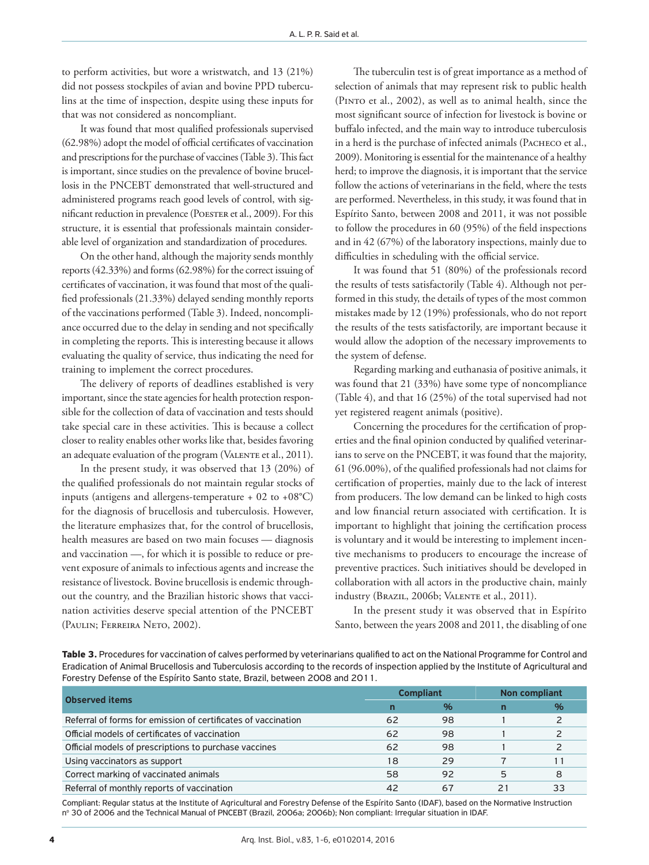to perform activities, but wore a wristwatch, and 13 (21%) did not possess stockpiles of avian and bovine PPD tuberculins at the time of inspection, despite using these inputs for that was not considered as noncompliant.

It was found that most qualified professionals supervised (62.98%) adopt the model of official certificates of vaccination and prescriptions for the purchase of vaccines (Table 3). This fact is important, since studies on the prevalence of bovine brucellosis in the PNCEBT demonstrated that well-structured and administered programs reach good levels of control, with significant reduction in prevalence (Poester et al., 2009). For this structure, it is essential that professionals maintain considerable level of organization and standardization of procedures.

On the other hand, although the majority sends monthly reports (42.33%) and forms (62.98%) for the correct issuing of certificates of vaccination, it was found that most of the qualified professionals (21.33%) delayed sending monthly reports of the vaccinations performed (Table 3). Indeed, noncompliance occurred due to the delay in sending and not specifically in completing the reports. This is interesting because it allows evaluating the quality of service, thus indicating the need for training to implement the correct procedures.

The delivery of reports of deadlines established is very important, since the state agencies for health protection responsible for the collection of data of vaccination and tests should take special care in these activities. This is because a collect closer to reality enables other works like that, besides favoring an adequate evaluation of the program (VALENTE et al., 2011).

In the present study, it was observed that 13 (20%) of the qualified professionals do not maintain regular stocks of inputs (antigens and allergens-temperature + 02 to +08°C) for the diagnosis of brucellosis and tuberculosis. However, the literature emphasizes that, for the control of brucellosis, health measures are based on two main focuses — diagnosis and vaccination —, for which it is possible to reduce or prevent exposure of animals to infectious agents and increase the resistance of livestock. Bovine brucellosis is endemic throughout the country, and the Brazilian historic shows that vaccination activities deserve special attention of the PNCEBT (Paulin; Ferreira Neto, 2002).

The tuberculin test is of great importance as a method of selection of animals that may represent risk to public health (Pinto et al., 2002), as well as to animal health, since the most significant source of infection for livestock is bovine or buffalo infected, and the main way to introduce tuberculosis in a herd is the purchase of infected animals (Pacheco et al., 2009). Monitoring is essential for the maintenance of a healthy herd; to improve the diagnosis, it is important that the service follow the actions of veterinarians in the field, where the tests are performed. Nevertheless, in this study, it was found that in Espírito Santo, between 2008 and 2011, it was not possible to follow the procedures in 60 (95%) of the field inspections and in 42 (67%) of the laboratory inspections, mainly due to difficulties in scheduling with the official service.

It was found that 51 (80%) of the professionals record the results of tests satisfactorily (Table 4). Although not performed in this study, the details of types of the most common mistakes made by 12 (19%) professionals, who do not report the results of the tests satisfactorily, are important because it would allow the adoption of the necessary improvements to the system of defense.

Regarding marking and euthanasia of positive animals, it was found that 21 (33%) have some type of noncompliance (Table 4), and that 16 (25%) of the total supervised had not yet registered reagent animals (positive).

Concerning the procedures for the certification of properties and the final opinion conducted by qualified veterinarians to serve on the PNCEBT, it was found that the majority, 61 (96.00%), of the qualified professionals had not claims for certification of properties, mainly due to the lack of interest from producers. The low demand can be linked to high costs and low financial return associated with certification. It is important to highlight that joining the certification process is voluntary and it would be interesting to implement incentive mechanisms to producers to encourage the increase of preventive practices. Such initiatives should be developed in collaboration with all actors in the productive chain, mainly industry (Brazil, 2006b; Valente et al., 2011).

In the present study it was observed that in Espírito Santo, between the years 2008 and 2011, the disabling of one

**Table 3.** Procedures for vaccination of calves performed by veterinarians qualified to act on the National Programme for Control and Eradication of Animal Brucellosis and Tuberculosis according to the records of inspection applied by the Institute of Agricultural and Forestry Defense of the Espírito Santo state, Brazil, between 2008 and 2011.

| <b>Observed items</b>                                         | <b>Compliant</b> |    | <b>Non compliant</b> |   |
|---------------------------------------------------------------|------------------|----|----------------------|---|
|                                                               | n                | %  | n                    | % |
| Referral of forms for emission of certificates of vaccination | 62               | 98 |                      |   |
| Official models of certificates of vaccination                | 62               | 98 |                      |   |
| Official models of prescriptions to purchase vaccines         | 62               | 98 |                      |   |
| Using vaccinators as support                                  | 18               | 29 |                      |   |
| Correct marking of vaccinated animals                         | 58               | 92 |                      | 8 |
| Referral of monthly reports of vaccination                    | 42               | 67 |                      |   |

Compliant: Regular status at the Institute of Agricultural and Forestry Defense of the Espírito Santo (IDAF), based on the Normative Instruction nº 30 of 2006 and the Technical Manual of PNCEBT (Brazil, 2006a; 2006b); Non compliant: Irregular situation in IDAF.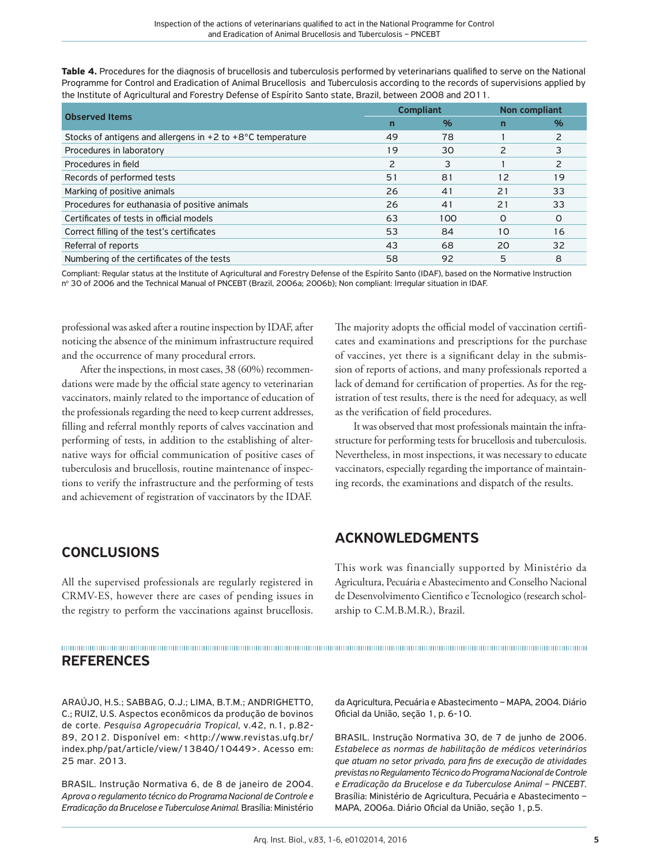**Table 4.** Procedures for the diagnosis of brucellosis and tuberculosis performed by veterinarians qualified to serve on the National Programme for Control and Eradication of Animal Brucellosis and Tuberculosis according to the records of supervisions applied by the Institute of Agricultural and Forestry Defense of Espírito Santo state, Brazil, between 2008 and 2011.

| <b>Observed Items</b>                                                  | <b>Compliant</b> |      | <b>Non compliant</b> |          |
|------------------------------------------------------------------------|------------------|------|----------------------|----------|
|                                                                        | n                | $\%$ | n                    | %        |
| Stocks of antigens and allergens in $+2$ to $+8^{\circ}$ C temperature | 49               | 78   |                      |          |
| Procedures in laboratory                                               | 19               | 30   | 2                    |          |
| Procedures in field                                                    | 2                | 3    |                      |          |
| Records of performed tests                                             | 51               | 81   | 12                   | 19       |
| Marking of positive animals                                            | 26               | 41   | 21                   | 33       |
| Procedures for euthanasia of positive animals                          | 26               | 41   | 21                   | 33       |
| Certificates of tests in official models                               | 63               | 100  | $\Omega$             | $\Omega$ |
| Correct filling of the test's certificates                             | 53               | 84   | 1 <sub>O</sub>       | 16       |
| Referral of reports                                                    | 43               | 68   | 20                   | 32       |
| Numbering of the certificates of the tests                             | 58               | 92   | 5                    | 8        |

Compliant: Regular status at the Institute of Agricultural and Forestry Defense of the Espírito Santo (IDAF), based on the Normative Instruction nº 30 of 2006 and the Technical Manual of PNCEBT (Brazil, 2006a; 2006b); Non compliant: Irregular situation in IDAF.

professional was asked after a routine inspection by IDAF, after noticing the absence of the minimum infrastructure required and the occurrence of many procedural errors.

After the inspections, in most cases, 38 (60%) recommendations were made by the official state agency to veterinarian vaccinators, mainly related to the importance of education of the professionals regarding the need to keep current addresses, filling and referral monthly reports of calves vaccination and performing of tests, in addition to the establishing of alternative ways for official communication of positive cases of tuberculosis and brucellosis, routine maintenance of inspections to verify the infrastructure and the performing of tests and achievement of registration of vaccinators by the IDAF.

## CONCLUSIONS

All the supervised professionals are regularly registered in CRMV-ES, however there are cases of pending issues in the registry to perform the vaccinations against brucellosis.

## REFERENCES

ARAÚJO, H.S.; SABBAG, O.J.; LIMA, B.T.M.; ANDRIGHETTO, C.; RUIZ, U.S. Aspectos econômicos da produção de bovinos de corte. *Pesquisa Agropecuária Tropical*, v.42, n.1, p.82- 89, 2012. Disponível em: <http://www.revistas.ufg.br/ index.php/pat/article/view/13840/10449>. Acesso em: 25 mar. 2013.

BRASIL. Instrução Normativa 6, de 8 de janeiro de 2004. *Aprova o regulamento técnico do Programa Nacional de Controle e Erradicação da Brucelose e Tuberculose Animal.* Brasília: Ministério The majority adopts the official model of vaccination certificates and examinations and prescriptions for the purchase of vaccines, yet there is a significant delay in the submission of reports of actions, and many professionals reported a lack of demand for certification of properties. As for the registration of test results, there is the need for adequacy, as well as the verification of field procedures.

It was observed that most professionals maintain the infrastructure for performing tests for brucellosis and tuberculosis. Nevertheless, in most inspections, it was necessary to educate vaccinators, especially regarding the importance of maintaining records, the examinations and dispatch of the results.

## ACKNOWLEDGMENTS

This work was financially supported by Ministério da Agricultura, Pecuária e Abastecimento and Conselho Nacional de Desenvolvimento Cientifico e Tecnologico (research scholarship to C.M.B.M.R.), Brazil.

da Agricultura, Pecuária e Abastecimento – MAPA, 2004. Diário Oficial da União, seção 1, p. 6-10.

BRASIL. Instrução Normativa 30, de 7 de junho de 2006. *Estabelece as normas de habilitação de médicos veterinários que atuam no setor privado, para fins de execução de atividades previstas no Regulamento Técnico do Programa Nacional de Controle e Erradicação da Brucelose e da Tuberculose Animal – PNCEBT*. Brasília: Ministério de Agricultura, Pecuária e Abastecimento – MAPA, 2006a. Diário Oficial da União, seção 1, p.5.